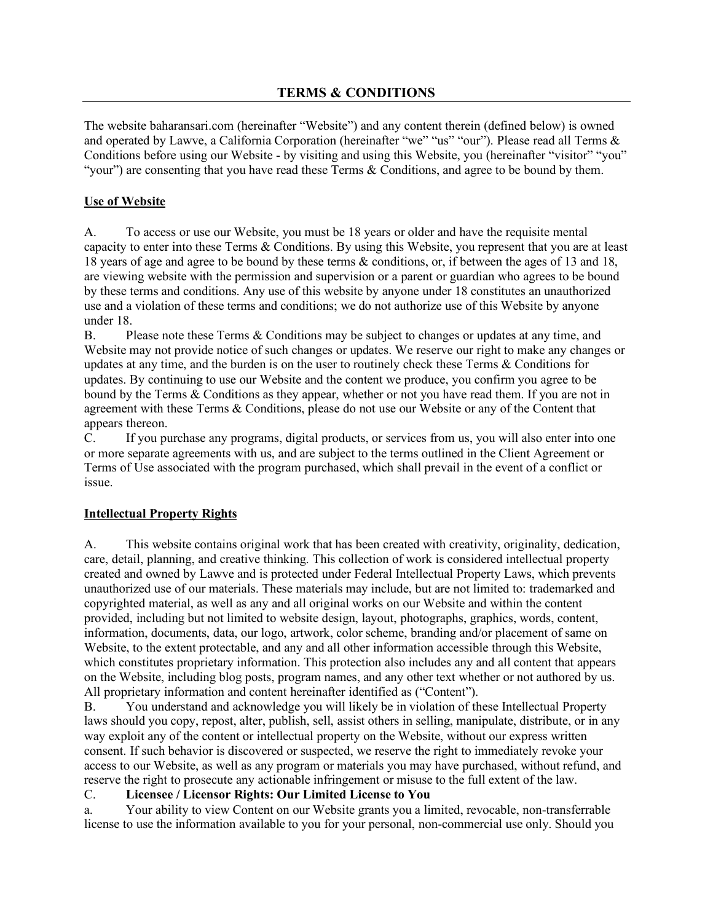The website baharansari.com (hereinafter "Website") and any content therein (defined below) is owned and operated by Lawve, a California Corporation (hereinafter "we" "us" "our"). Please read all Terms & Conditions before using our Website - by visiting and using this Website, you (hereinafter "visitor" "you" "your") are consenting that you have read these Terms  $\&$  Conditions, and agree to be bound by them.

# **Use of Website**

A. To access or use our Website, you must be 18 years or older and have the requisite mental capacity to enter into these Terms & Conditions. By using this Website, you represent that you are at least 18 years of age and agree to be bound by these terms & conditions, or, if between the ages of 13 and 18, are viewing website with the permission and supervision or a parent or guardian who agrees to be bound by these terms and conditions. Any use of this website by anyone under 18 constitutes an unauthorized use and a violation of these terms and conditions; we do not authorize use of this Website by anyone under 18.

B. Please note these Terms & Conditions may be subject to changes or updates at any time, and Website may not provide notice of such changes or updates. We reserve our right to make any changes or updates at any time, and the burden is on the user to routinely check these Terms & Conditions for updates. By continuing to use our Website and the content we produce, you confirm you agree to be bound by the Terms & Conditions as they appear, whether or not you have read them. If you are not in agreement with these Terms & Conditions, please do not use our Website or any of the Content that appears thereon.

C. If you purchase any programs, digital products, or services from us, you will also enter into one or more separate agreements with us, and are subject to the terms outlined in the Client Agreement or Terms of Use associated with the program purchased, which shall prevail in the event of a conflict or issue.

## **Intellectual Property Rights**

A. This website contains original work that has been created with creativity, originality, dedication, care, detail, planning, and creative thinking. This collection of work is considered intellectual property created and owned by Lawve and is protected under Federal Intellectual Property Laws, which prevents unauthorized use of our materials. These materials may include, but are not limited to: trademarked and copyrighted material, as well as any and all original works on our Website and within the content provided, including but not limited to website design, layout, photographs, graphics, words, content, information, documents, data, our logo, artwork, color scheme, branding and/or placement of same on Website, to the extent protectable, and any and all other information accessible through this Website, which constitutes proprietary information. This protection also includes any and all content that appears on the Website, including blog posts, program names, and any other text whether or not authored by us. All proprietary information and content hereinafter identified as ("Content").

B. You understand and acknowledge you will likely be in violation of these Intellectual Property laws should you copy, repost, alter, publish, sell, assist others in selling, manipulate, distribute, or in any way exploit any of the content or intellectual property on the Website, without our express written consent. If such behavior is discovered or suspected, we reserve the right to immediately revoke your access to our Website, as well as any program or materials you may have purchased, without refund, and reserve the right to prosecute any actionable infringement or misuse to the full extent of the law.

#### C. **Licensee / Licensor Rights: Our Limited License to You**

a. Your ability to view Content on our Website grants you a limited, revocable, non-transferrable license to use the information available to you for your personal, non-commercial use only. Should you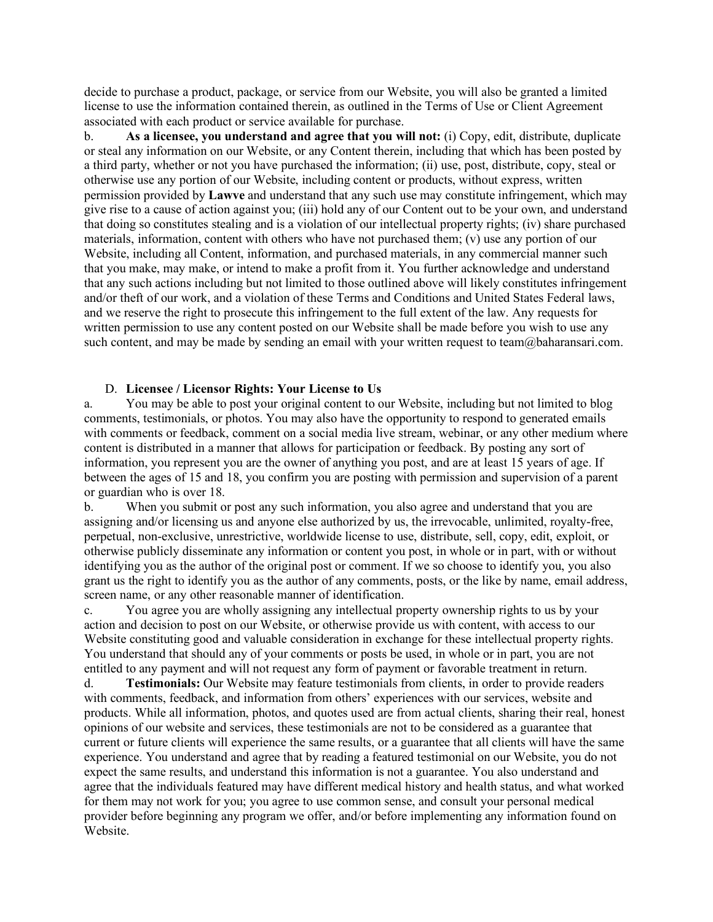decide to purchase a product, package, or service from our Website, you will also be granted a limited license to use the information contained therein, as outlined in the Terms of Use or Client Agreement associated with each product or service available for purchase.

b. **As a licensee, you understand and agree that you will not:** (i) Copy, edit, distribute, duplicate or steal any information on our Website, or any Content therein, including that which has been posted by a third party, whether or not you have purchased the information; (ii) use, post, distribute, copy, steal or otherwise use any portion of our Website, including content or products, without express, written permission provided by **Lawve** and understand that any such use may constitute infringement, which may give rise to a cause of action against you; (iii) hold any of our Content out to be your own, and understand that doing so constitutes stealing and is a violation of our intellectual property rights; (iv) share purchased materials, information, content with others who have not purchased them; (v) use any portion of our Website, including all Content, information, and purchased materials, in any commercial manner such that you make, may make, or intend to make a profit from it. You further acknowledge and understand that any such actions including but not limited to those outlined above will likely constitutes infringement and/or theft of our work, and a violation of these Terms and Conditions and United States Federal laws, and we reserve the right to prosecute this infringement to the full extent of the law. Any requests for written permission to use any content posted on our Website shall be made before you wish to use any such content, and may be made by sending an email with your written request to team@baharansari.com.

#### D. **Licensee / Licensor Rights: Your License to Us**

a. You may be able to post your original content to our Website, including but not limited to blog comments, testimonials, or photos. You may also have the opportunity to respond to generated emails with comments or feedback, comment on a social media live stream, webinar, or any other medium where content is distributed in a manner that allows for participation or feedback. By posting any sort of information, you represent you are the owner of anything you post, and are at least 15 years of age. If between the ages of 15 and 18, you confirm you are posting with permission and supervision of a parent or guardian who is over 18.

b. When you submit or post any such information, you also agree and understand that you are assigning and/or licensing us and anyone else authorized by us, the irrevocable, unlimited, royalty-free, perpetual, non-exclusive, unrestrictive, worldwide license to use, distribute, sell, copy, edit, exploit, or otherwise publicly disseminate any information or content you post, in whole or in part, with or without identifying you as the author of the original post or comment. If we so choose to identify you, you also grant us the right to identify you as the author of any comments, posts, or the like by name, email address, screen name, or any other reasonable manner of identification.

c. You agree you are wholly assigning any intellectual property ownership rights to us by your action and decision to post on our Website, or otherwise provide us with content, with access to our Website constituting good and valuable consideration in exchange for these intellectual property rights. You understand that should any of your comments or posts be used, in whole or in part, you are not entitled to any payment and will not request any form of payment or favorable treatment in return.

d. **Testimonials:** Our Website may feature testimonials from clients, in order to provide readers with comments, feedback, and information from others' experiences with our services, website and products. While all information, photos, and quotes used are from actual clients, sharing their real, honest opinions of our website and services, these testimonials are not to be considered as a guarantee that current or future clients will experience the same results, or a guarantee that all clients will have the same experience. You understand and agree that by reading a featured testimonial on our Website, you do not expect the same results, and understand this information is not a guarantee. You also understand and agree that the individuals featured may have different medical history and health status, and what worked for them may not work for you; you agree to use common sense, and consult your personal medical provider before beginning any program we offer, and/or before implementing any information found on Website.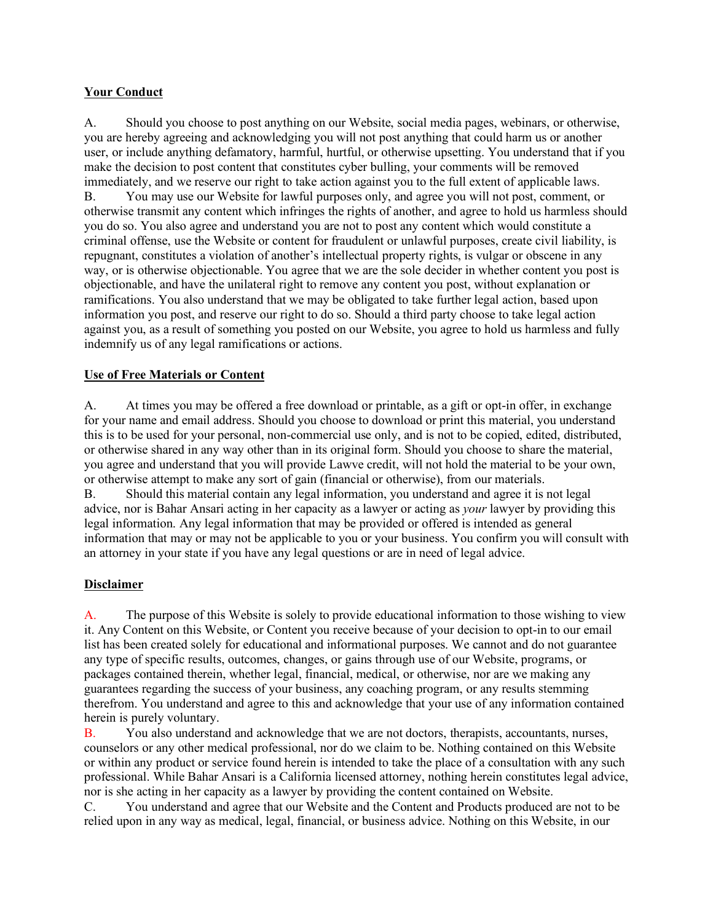## **Your Conduct**

A. Should you choose to post anything on our Website, social media pages, webinars, or otherwise, you are hereby agreeing and acknowledging you will not post anything that could harm us or another user, or include anything defamatory, harmful, hurtful, or otherwise upsetting. You understand that if you make the decision to post content that constitutes cyber bulling, your comments will be removed immediately, and we reserve our right to take action against you to the full extent of applicable laws. B. You may use our Website for lawful purposes only, and agree you will not post, comment, or

otherwise transmit any content which infringes the rights of another, and agree to hold us harmless should you do so. You also agree and understand you are not to post any content which would constitute a criminal offense, use the Website or content for fraudulent or unlawful purposes, create civil liability, is repugnant, constitutes a violation of another's intellectual property rights, is vulgar or obscene in any way, or is otherwise objectionable. You agree that we are the sole decider in whether content you post is objectionable, and have the unilateral right to remove any content you post, without explanation or ramifications. You also understand that we may be obligated to take further legal action, based upon information you post, and reserve our right to do so. Should a third party choose to take legal action against you, as a result of something you posted on our Website, you agree to hold us harmless and fully indemnify us of any legal ramifications or actions.

#### **Use of Free Materials or Content**

A. At times you may be offered a free download or printable, as a gift or opt-in offer, in exchange for your name and email address. Should you choose to download or print this material, you understand this is to be used for your personal, non-commercial use only, and is not to be copied, edited, distributed, or otherwise shared in any way other than in its original form. Should you choose to share the material, you agree and understand that you will provide Lawve credit, will not hold the material to be your own, or otherwise attempt to make any sort of gain (financial or otherwise), from our materials.

B. Should this material contain any legal information, you understand and agree it is not legal advice, nor is Bahar Ansari acting in her capacity as a lawyer or acting as *your* lawyer by providing this legal information. Any legal information that may be provided or offered is intended as general information that may or may not be applicable to you or your business. You confirm you will consult with an attorney in your state if you have any legal questions or are in need of legal advice.

#### **Disclaimer**

A. The purpose of this Website is solely to provide educational information to those wishing to view it. Any Content on this Website, or Content you receive because of your decision to opt-in to our email list has been created solely for educational and informational purposes. We cannot and do not guarantee any type of specific results, outcomes, changes, or gains through use of our Website, programs, or packages contained therein, whether legal, financial, medical, or otherwise, nor are we making any guarantees regarding the success of your business, any coaching program, or any results stemming therefrom. You understand and agree to this and acknowledge that your use of any information contained herein is purely voluntary.

B. You also understand and acknowledge that we are not doctors, therapists, accountants, nurses, counselors or any other medical professional, nor do we claim to be. Nothing contained on this Website or within any product or service found herein is intended to take the place of a consultation with any such professional. While Bahar Ansari is a California licensed attorney, nothing herein constitutes legal advice, nor is she acting in her capacity as a lawyer by providing the content contained on Website.

C. You understand and agree that our Website and the Content and Products produced are not to be relied upon in any way as medical, legal, financial, or business advice. Nothing on this Website, in our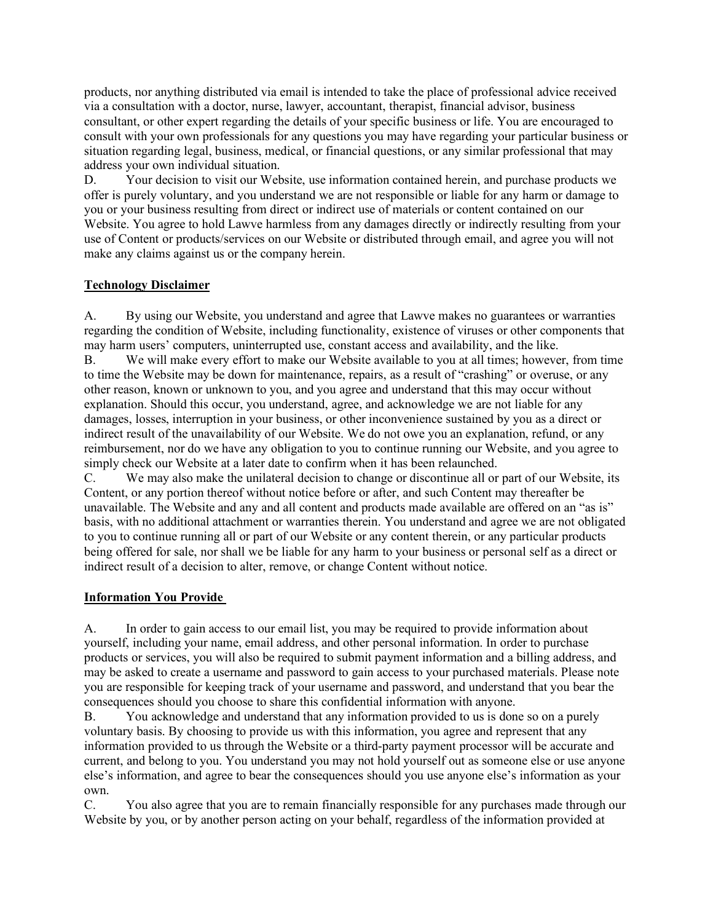products, nor anything distributed via email is intended to take the place of professional advice received via a consultation with a doctor, nurse, lawyer, accountant, therapist, financial advisor, business consultant, or other expert regarding the details of your specific business or life. You are encouraged to consult with your own professionals for any questions you may have regarding your particular business or situation regarding legal, business, medical, or financial questions, or any similar professional that may address your own individual situation.

D. Your decision to visit our Website, use information contained herein, and purchase products we offer is purely voluntary, and you understand we are not responsible or liable for any harm or damage to you or your business resulting from direct or indirect use of materials or content contained on our Website. You agree to hold Lawve harmless from any damages directly or indirectly resulting from your use of Content or products/services on our Website or distributed through email, and agree you will not make any claims against us or the company herein.

## **Technology Disclaimer**

A. By using our Website, you understand and agree that Lawve makes no guarantees or warranties regarding the condition of Website, including functionality, existence of viruses or other components that may harm users' computers, uninterrupted use, constant access and availability, and the like.

B. We will make every effort to make our Website available to you at all times; however, from time to time the Website may be down for maintenance, repairs, as a result of "crashing" or overuse, or any other reason, known or unknown to you, and you agree and understand that this may occur without explanation. Should this occur, you understand, agree, and acknowledge we are not liable for any damages, losses, interruption in your business, or other inconvenience sustained by you as a direct or indirect result of the unavailability of our Website. We do not owe you an explanation, refund, or any reimbursement, nor do we have any obligation to you to continue running our Website, and you agree to simply check our Website at a later date to confirm when it has been relaunched.

C. We may also make the unilateral decision to change or discontinue all or part of our Website, its Content, or any portion thereof without notice before or after, and such Content may thereafter be unavailable. The Website and any and all content and products made available are offered on an "as is" basis, with no additional attachment or warranties therein. You understand and agree we are not obligated to you to continue running all or part of our Website or any content therein, or any particular products being offered for sale, nor shall we be liable for any harm to your business or personal self as a direct or indirect result of a decision to alter, remove, or change Content without notice.

## **Information You Provide**

A. In order to gain access to our email list, you may be required to provide information about yourself, including your name, email address, and other personal information. In order to purchase products or services, you will also be required to submit payment information and a billing address, and may be asked to create a username and password to gain access to your purchased materials. Please note you are responsible for keeping track of your username and password, and understand that you bear the consequences should you choose to share this confidential information with anyone.

B. You acknowledge and understand that any information provided to us is done so on a purely voluntary basis. By choosing to provide us with this information, you agree and represent that any information provided to us through the Website or a third-party payment processor will be accurate and current, and belong to you. You understand you may not hold yourself out as someone else or use anyone else's information, and agree to bear the consequences should you use anyone else's information as your own.

C. You also agree that you are to remain financially responsible for any purchases made through our Website by you, or by another person acting on your behalf, regardless of the information provided at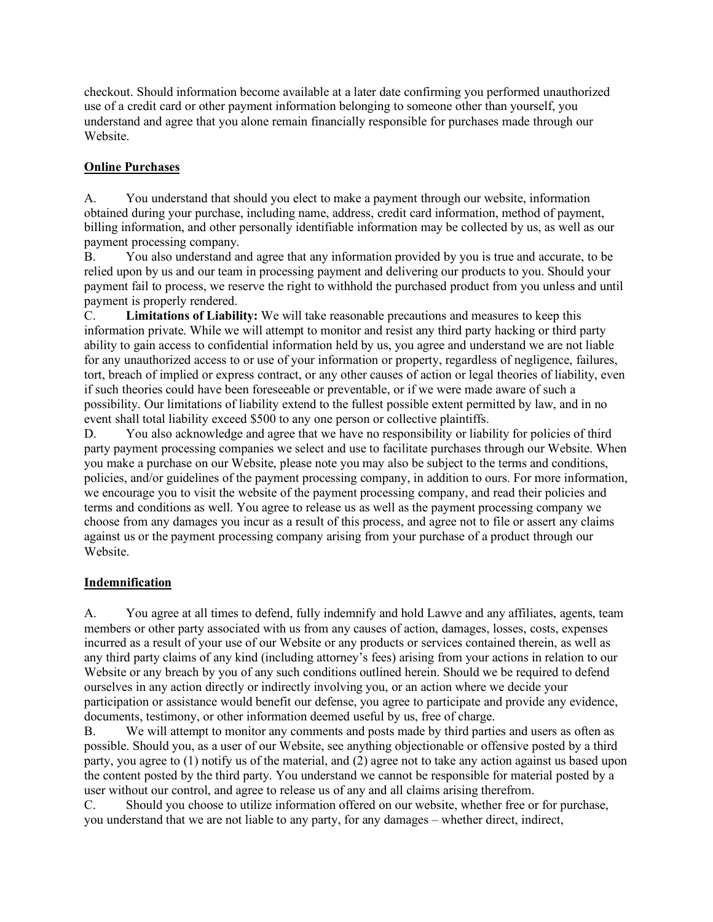checkout. Should information become available at a later date confirming you performed unauthorized use of a credit card or other payment information belonging to someone other than yourself, you understand and agree that you alone remain financially responsible for purchases made through our Website.

# **Online Purchases**

A. You understand that should you elect to make a payment through our website, information obtained during your purchase, including name, address, credit card information, method of payment, billing information, and other personally identifiable information may be collected by us, as well as our payment processing company.

B. You also understand and agree that any information provided by you is true and accurate, to be relied upon by us and our team in processing payment and delivering our products to you. Should your payment fail to process, we reserve the right to withhold the purchased product from you unless and until payment is properly rendered.

C. **Limitations of Liability:** We will take reasonable precautions and measures to keep this information private. While we will attempt to monitor and resist any third party hacking or third party ability to gain access to confidential information held by us, you agree and understand we are not liable for any unauthorized access to or use of your information or property, regardless of negligence, failures, tort, breach of implied or express contract, or any other causes of action or legal theories of liability, even if such theories could have been foreseeable or preventable, or if we were made aware of such a possibility. Our limitations of liability extend to the fullest possible extent permitted by law, and in no event shall total liability exceed \$500 to any one person or collective plaintiffs.

D. You also acknowledge and agree that we have no responsibility or liability for policies of third party payment processing companies we select and use to facilitate purchases through our Website. When you make a purchase on our Website, please note you may also be subject to the terms and conditions, policies, and/or guidelines of the payment processing company, in addition to ours. For more information, we encourage you to visit the website of the payment processing company, and read their policies and terms and conditions as well. You agree to release us as well as the payment processing company we choose from any damages you incur as a result of this process, and agree not to file or assert any claims against us or the payment processing company arising from your purchase of a product through our Website.

# **Indemnification**

A. You agree at all times to defend, fully indemnify and hold Lawve and any affiliates, agents, team members or other party associated with us from any causes of action, damages, losses, costs, expenses incurred as a result of your use of our Website or any products or services contained therein, as well as any third party claims of any kind (including attorney's fees) arising from your actions in relation to our Website or any breach by you of any such conditions outlined herein. Should we be required to defend ourselves in any action directly or indirectly involving you, or an action where we decide your participation or assistance would benefit our defense, you agree to participate and provide any evidence, documents, testimony, or other information deemed useful by us, free of charge.

B. We will attempt to monitor any comments and posts made by third parties and users as often as possible. Should you, as a user of our Website, see anything objectionable or offensive posted by a third party, you agree to (1) notify us of the material, and (2) agree not to take any action against us based upon the content posted by the third party. You understand we cannot be responsible for material posted by a user without our control, and agree to release us of any and all claims arising therefrom.

C. Should you choose to utilize information offered on our website, whether free or for purchase, you understand that we are not liable to any party, for any damages – whether direct, indirect,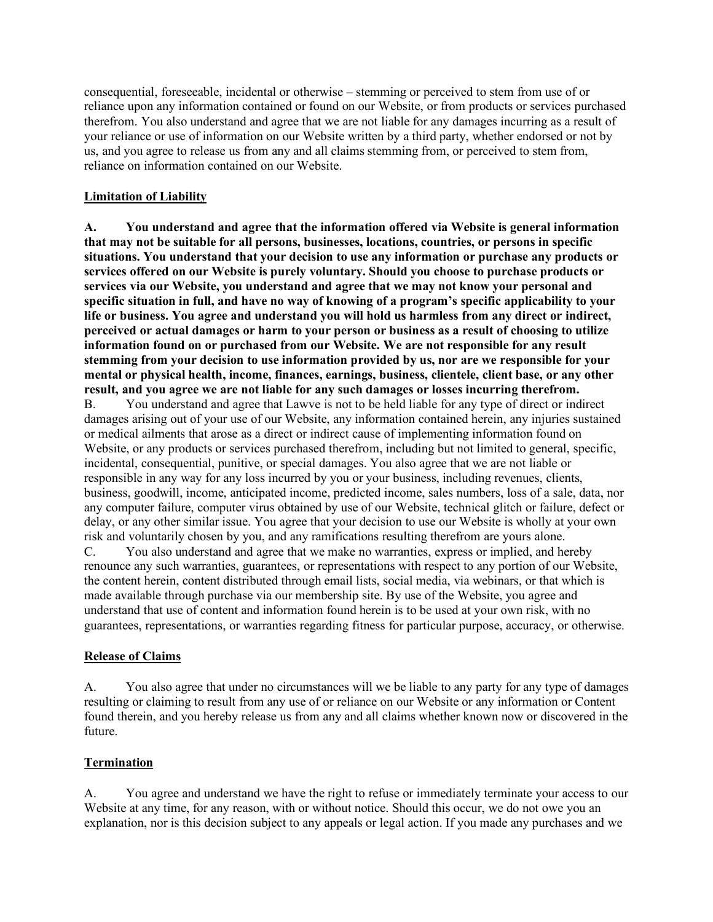consequential, foreseeable, incidental or otherwise – stemming or perceived to stem from use of or reliance upon any information contained or found on our Website, or from products or services purchased therefrom. You also understand and agree that we are not liable for any damages incurring as a result of your reliance or use of information on our Website written by a third party, whether endorsed or not by us, and you agree to release us from any and all claims stemming from, or perceived to stem from, reliance on information contained on our Website.

#### **Limitation of Liability**

**A. You understand and agree that the information offered via Website is general information that may not be suitable for all persons, businesses, locations, countries, or persons in specific situations. You understand that your decision to use any information or purchase any products or services offered on our Website is purely voluntary. Should you choose to purchase products or services via our Website, you understand and agree that we may not know your personal and specific situation in full, and have no way of knowing of a program's specific applicability to your life or business. You agree and understand you will hold us harmless from any direct or indirect, perceived or actual damages or harm to your person or business as a result of choosing to utilize information found on or purchased from our Website. We are not responsible for any result stemming from your decision to use information provided by us, nor are we responsible for your mental or physical health, income, finances, earnings, business, clientele, client base, or any other result, and you agree we are not liable for any such damages or losses incurring therefrom.**

B. You understand and agree that Lawve is not to be held liable for any type of direct or indirect damages arising out of your use of our Website, any information contained herein, any injuries sustained or medical ailments that arose as a direct or indirect cause of implementing information found on Website, or any products or services purchased therefrom, including but not limited to general, specific, incidental, consequential, punitive, or special damages. You also agree that we are not liable or responsible in any way for any loss incurred by you or your business, including revenues, clients, business, goodwill, income, anticipated income, predicted income, sales numbers, loss of a sale, data, nor any computer failure, computer virus obtained by use of our Website, technical glitch or failure, defect or delay, or any other similar issue. You agree that your decision to use our Website is wholly at your own risk and voluntarily chosen by you, and any ramifications resulting therefrom are yours alone. C. You also understand and agree that we make no warranties, express or implied, and hereby renounce any such warranties, guarantees, or representations with respect to any portion of our Website,

the content herein, content distributed through email lists, social media, via webinars, or that which is made available through purchase via our membership site. By use of the Website, you agree and understand that use of content and information found herein is to be used at your own risk, with no guarantees, representations, or warranties regarding fitness for particular purpose, accuracy, or otherwise.

## **Release of Claims**

A. You also agree that under no circumstances will we be liable to any party for any type of damages resulting or claiming to result from any use of or reliance on our Website or any information or Content found therein, and you hereby release us from any and all claims whether known now or discovered in the future.

## **Termination**

A. You agree and understand we have the right to refuse or immediately terminate your access to our Website at any time, for any reason, with or without notice. Should this occur, we do not owe you an explanation, nor is this decision subject to any appeals or legal action. If you made any purchases and we